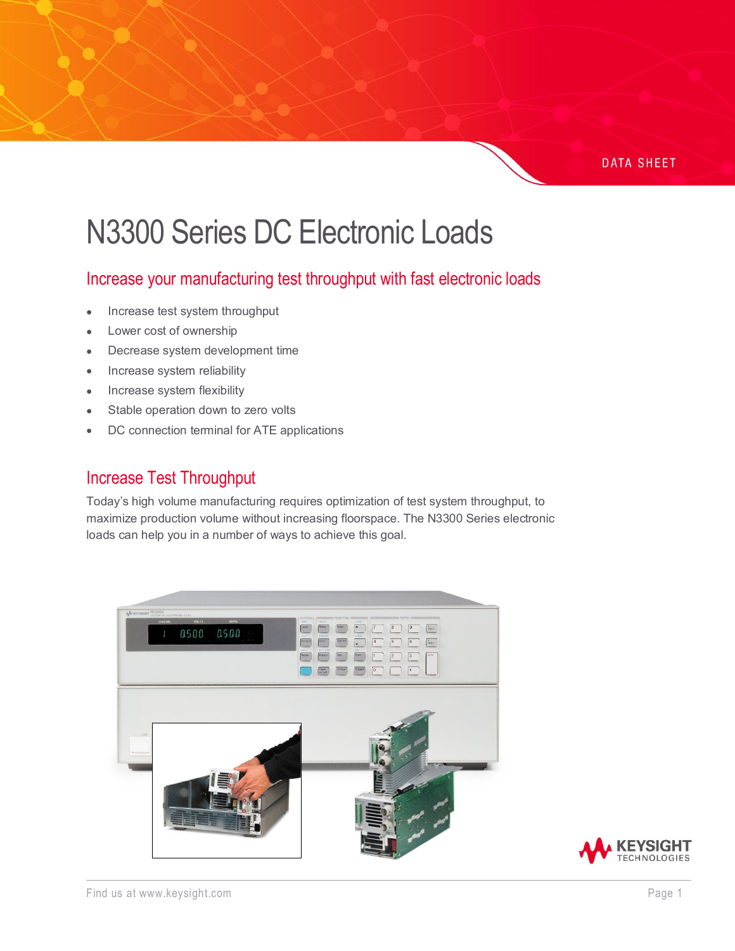#### **DATA SHEET**

# N3300 Series DC Electronic Loads

## Increase your manufacturing test throughput with fast electronic loads

- Increase test system throughput
- Lower cost of ownership
- Decrease system development time
- Increase system reliability
- Increase system flexibility
- Stable operation down to zero volts
- DC connection terminal for ATE applications

## Increase Test Throughput

Today's high volume manufacturing requires optimization of test system throughput, to maximize production volume without increasing floorspace. The N3300 Series electronic loads can help you in a number of ways to achieve this goal.



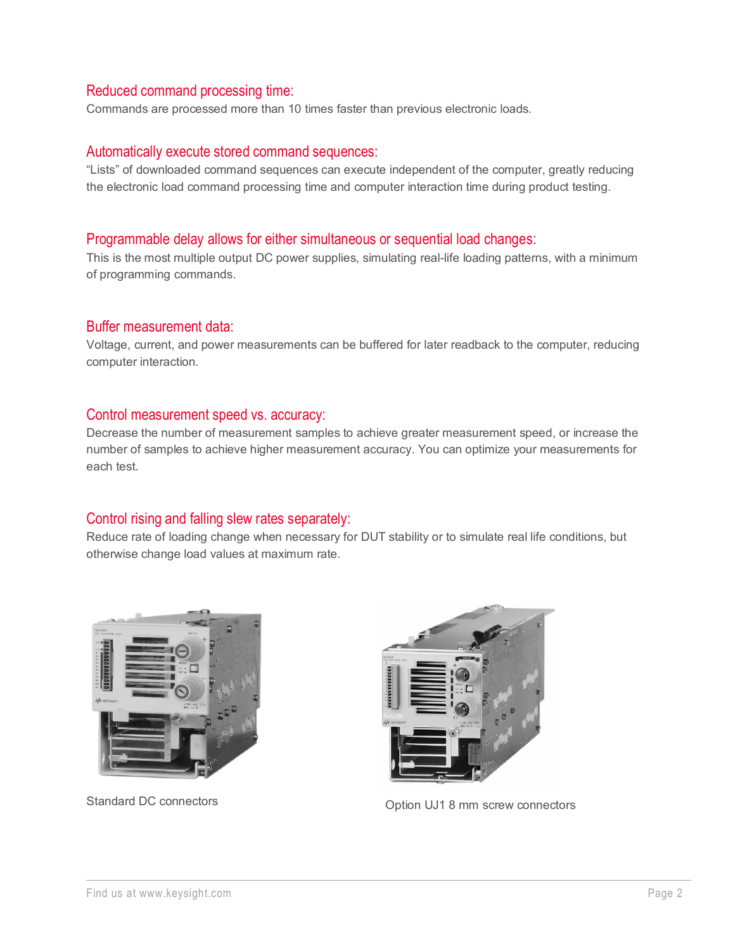#### Reduced command processing time:

Commands are processed more than 10 times faster than previous electronic loads.

#### Automatically execute stored command sequences:

"Lists" of downloaded command sequences can execute independent of the computer, greatly reducing the electronic load command processing time and computer interaction time during product testing.

#### Programmable delay allows for either simultaneous or sequential load changes:

This is the most multiple output DC power supplies, simulating real-life loading patterns, with a minimum of programming commands.

#### Buffer measurement data:

Voltage, current, and power measurements can be buffered for later readback to the computer, reducing computer interaction.

#### Control measurement speed vs. accuracy:

Decrease the number of measurement samples to achieve greater measurement speed, or increase the number of samples to achieve higher measurement accuracy. You can optimize your measurements for each test.

#### Control rising and falling slew rates separately:

Reduce rate of loading change when necessary for DUT stability or to simulate real life conditions, but otherwise change load values at maximum rate.





Standard DC connectors **CONFINGER 2018** Option UJ1 8 mm screw connectors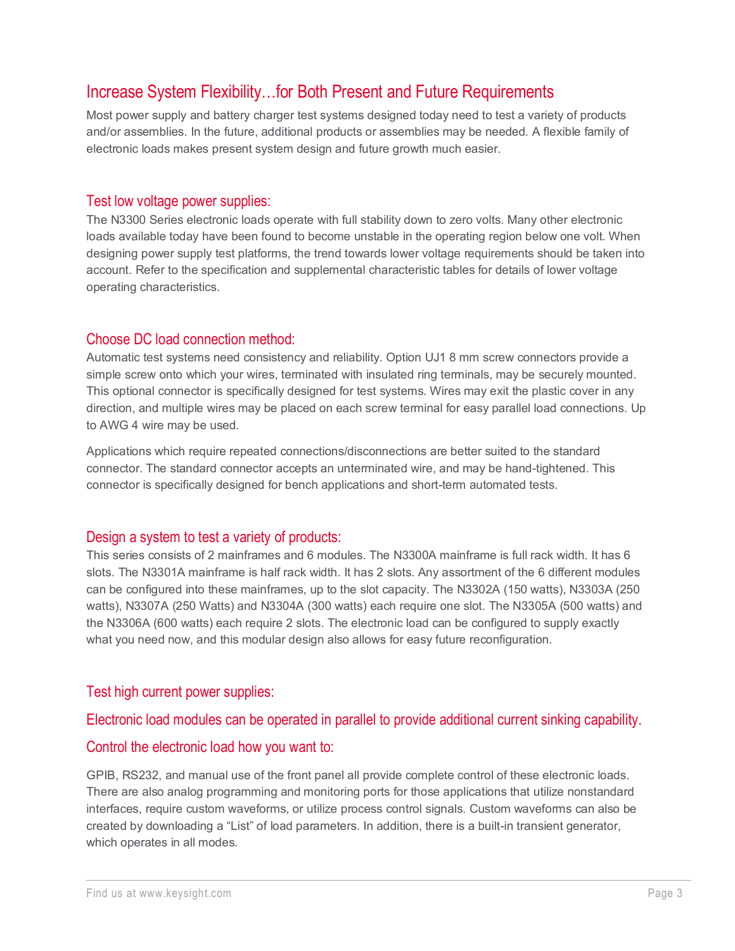## Increase System Flexibility…for Both Present and Future Requirements

Most power supply and battery charger test systems designed today need to test a variety of products and/or assemblies. In the future, additional products or assemblies may be needed. A flexible family of electronic loads makes present system design and future growth much easier.

#### Test low voltage power supplies:

The N3300 Series electronic loads operate with full stability down to zero volts. Many other electronic loads available today have been found to become unstable in the operating region below one volt. When designing power supply test platforms, the trend towards lower voltage requirements should be taken into account. Refer to the specification and supplemental characteristic tables for details of lower voltage operating characteristics.

#### Choose DC load connection method:

Automatic test systems need consistency and reliability. Option UJ1 8 mm screw connectors provide a simple screw onto which your wires, terminated with insulated ring terminals, may be securely mounted. This optional connector is specifically designed for test systems. Wires may exit the plastic cover in any direction, and multiple wires may be placed on each screw terminal for easy parallel load connections. Up to AWG 4 wire may be used.

Applications which require repeated connections/disconnections are better suited to the standard connector. The standard connector accepts an unterminated wire, and may be hand-tightened. This connector is specifically designed for bench applications and short-term automated tests.

#### Design a system to test a variety of products:

This series consists of 2 mainframes and 6 modules. The N3300A mainframe is full rack width. It has 6 slots. The N3301A mainframe is half rack width. It has 2 slots. Any assortment of the 6 different modules can be configured into these mainframes, up to the slot capacity. The N3302A (150 watts), N3303A (250 watts), N3307A (250 Watts) and N3304A (300 watts) each require one slot. The N3305A (500 watts) and the N3306A (600 watts) each require 2 slots. The electronic load can be configured to supply exactly what you need now, and this modular design also allows for easy future reconfiguration.

#### Test high current power supplies:

#### Electronic load modules can be operated in parallel to provide additional current sinking capability.

#### Control the electronic load how you want to:

GPIB, RS232, and manual use of the front panel all provide complete control of these electronic loads. There are also analog programming and monitoring ports for those applications that utilize nonstandard interfaces, require custom waveforms, or utilize process control signals. Custom waveforms can also be created by downloading a "List" of load parameters. In addition, there is a built-in transient generator, which operates in all modes.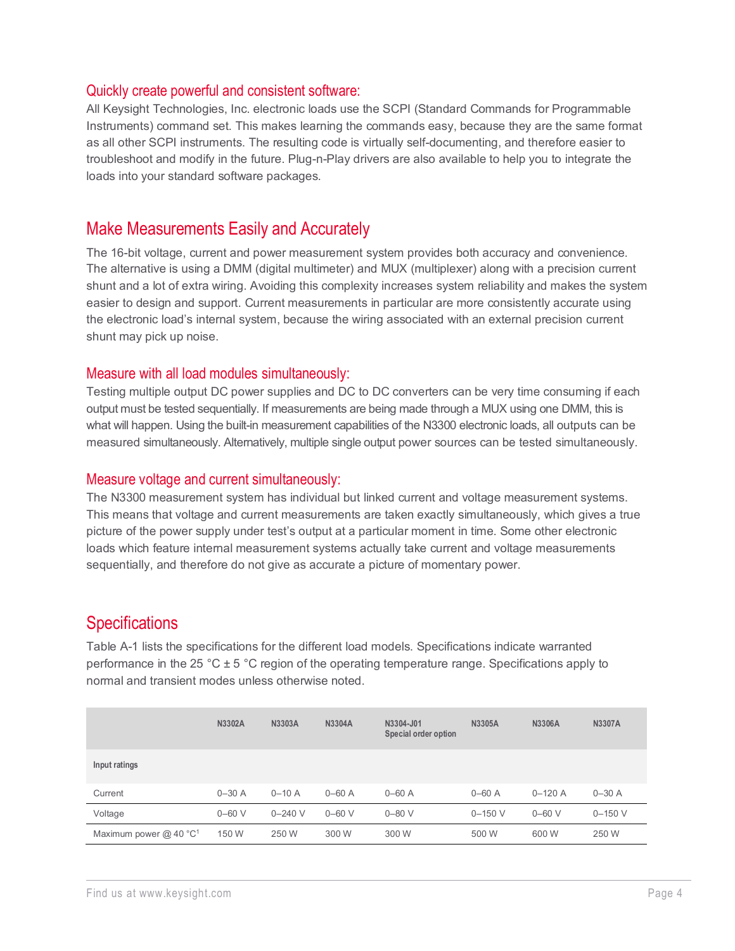#### Quickly create powerful and consistent software:

All Keysight Technologies, Inc. electronic loads use the SCPI (Standard Commands for Programmable Instruments) command set. This makes learning the commands easy, because they are the same format as all other SCPI instruments. The resulting code is virtually self-documenting, and therefore easier to troubleshoot and modify in the future. Plug-n-Play drivers are also available to help you to integrate the loads into your standard software packages.

### Make Measurements Easily and Accurately

The 16-bit voltage, current and power measurement system provides both accuracy and convenience. The alternative is using a DMM (digital multimeter) and MUX (multiplexer) along with a precision current shunt and a lot of extra wiring. Avoiding this complexity increases system reliability and makes the system easier to design and support. Current measurements in particular are more consistently accurate using the electronic load's internal system, because the wiring associated with an external precision current shunt may pick up noise.

#### Measure with all load modules simultaneously:

Testing multiple output DC power supplies and DC to DC converters can be very time consuming if each output must be tested sequentially. If measurements are being made through a MUX using one DMM, this is what will happen. Using the built-in measurement capabilities of the N3300 electronic loads, all outputs can be measured simultaneously. Alternatively, multiple single output power sources can be tested simultaneously.

#### Measure voltage and current simultaneously:

The N3300 measurement system has individual but linked current and voltage measurement systems. This means that voltage and current measurements are taken exactly simultaneously, which gives a true picture of the power supply under test's output at a particular moment in time. Some other electronic loads which feature internal measurement systems actually take current and voltage measurements sequentially, and therefore do not give as accurate a picture of momentary power.

## **Specifications**

Table A-1 lists the specifications for the different load models. Specifications indicate warranted performance in the 25 °C ± 5 °C region of the operating temperature range. Specifications apply to normal and transient modes unless otherwise noted.

|                                      | <b>N3302A</b> | N3303A      | <b>N3304A</b> | N3304-J01<br>Special order option | N3305A      | N3306A     | <b>N3307A</b> |
|--------------------------------------|---------------|-------------|---------------|-----------------------------------|-------------|------------|---------------|
| Input ratings                        |               |             |               |                                   |             |            |               |
| Current                              | $0 - 30$ A    | $0 - 10A$   | $0 - 60$ A    | $0 - 60$ A                        | $0 - 60$ A  | $0 - 120A$ | $0 - 30$ A    |
| Voltage                              | $0 - 60$ V    | $0 - 240$ V | $0 - 60$ V    | $0 - 80$ V                        | $0 - 150$ V | $0 - 60$ V | $0 - 150$ V   |
| Maximum power $@$ 40 °C <sup>1</sup> | 150 W         | 250 W       | 300 W         | 300 W                             | 500 W       | 600 W      | 250 W         |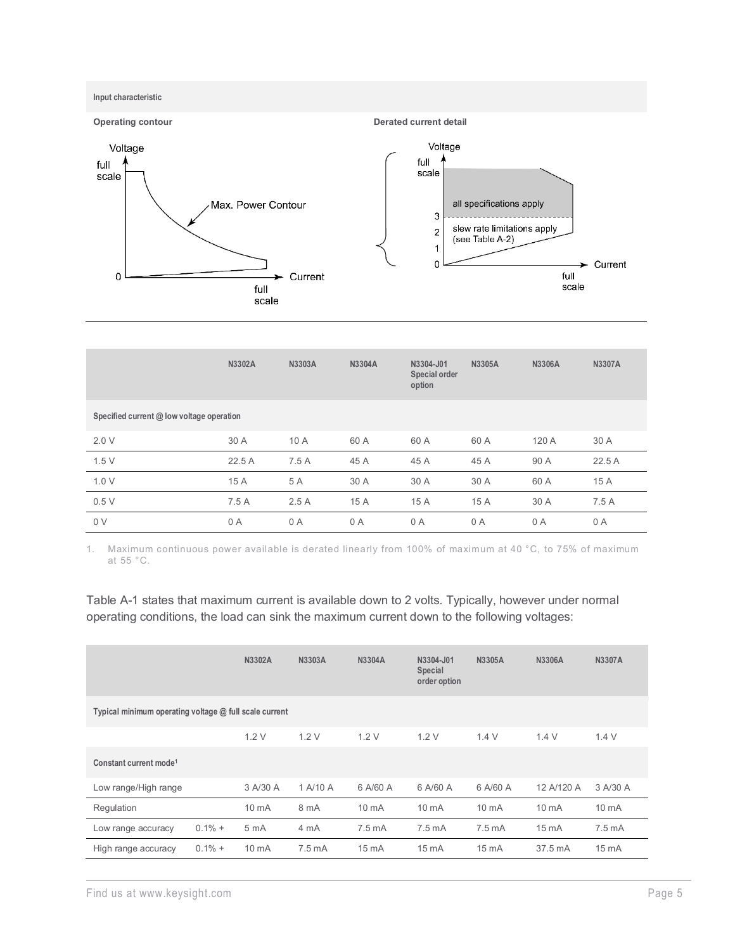

|                                           | N3302A | N3303A | <b>N3304A</b> | N3304-J01<br>Special order<br>option | <b>N3305A</b> | <b>N3306A</b> | <b>N3307A</b> |
|-------------------------------------------|--------|--------|---------------|--------------------------------------|---------------|---------------|---------------|
| Specified current @ low voltage operation |        |        |               |                                      |               |               |               |
| 2.0V                                      | 30 A   | 10 A   | 60 A          | 60 A                                 | 60 A          | 120 A         | 30 A          |
| 1.5V                                      | 22.5A  | 7.5 A  | 45 A          | 45 A                                 | 45 A          | 90 A          | 22.5 A        |
| 1.0V                                      | 15 A   | 5 A    | 30 A          | 30 A                                 | 30 A          | 60 A          | 15 A          |
| 0.5V                                      | 7.5 A  | 2.5A   | 15 A          | 15 A                                 | 15 A          | 30 A          | 7.5A          |
| 0 <sub>V</sub>                            | 0 A    | 0A     | 0 A           | 0 A                                  | 0 A           | 0 A           | 0 A           |

1. Maximum continuous power available is derated linearly from 100% of maximum at 40 °C, to 75% of maximum at 55 °C.

Table A-1 states that maximum current is available down to 2 volts. Typically, however under normal operating conditions, the load can sink the maximum current down to the following voltages:

|                                                          |           | N3302A           | N3303A           | N3304A             | N3304-J01<br>Special<br>order option | N3305A             | N3306A            | <b>N3307A</b>    |
|----------------------------------------------------------|-----------|------------------|------------------|--------------------|--------------------------------------|--------------------|-------------------|------------------|
| Typical minimum operating voltage $@$ full scale current |           |                  |                  |                    |                                      |                    |                   |                  |
|                                                          |           | 1.2V             | 1.2V             | 1.2V               | 1.2V                                 | 1.4V               | 1.4V              | 1.4V             |
| Constant current mode <sup>1</sup>                       |           |                  |                  |                    |                                      |                    |                   |                  |
| Low range/High range                                     |           | 3 A/30 A         | 1 A/10 A         | 6 A/60 A           | 6 A/60 A                             | 6 A/60 A           | 12 A/120 A        | 3 A/30 A         |
| Regulation                                               |           | $10 \text{ mA}$  | 8 mA             | 10 <sub>m</sub> A  | $10 \text{ mA}$                      | 10 <sub>m</sub> A  | 10 <sub>m</sub> A | 10 mA            |
| Low range accuracy                                       | $0.1\% +$ | 5 <sub>m</sub> A | 4 mA             | 7.5 <sub>m</sub> A | $7.5 \text{ mA}$                     | 7.5 <sub>m</sub> A | $15 \text{ mA}$   | $7.5 \text{ mA}$ |
| High range accuracy                                      | $0.1\% +$ | $10 \text{ mA}$  | $7.5 \text{ mA}$ | $15 \text{ mA}$    | $15 \text{ mA}$                      | $15 \text{ mA}$    | 37.5 mA           | $15 \text{ mA}$  |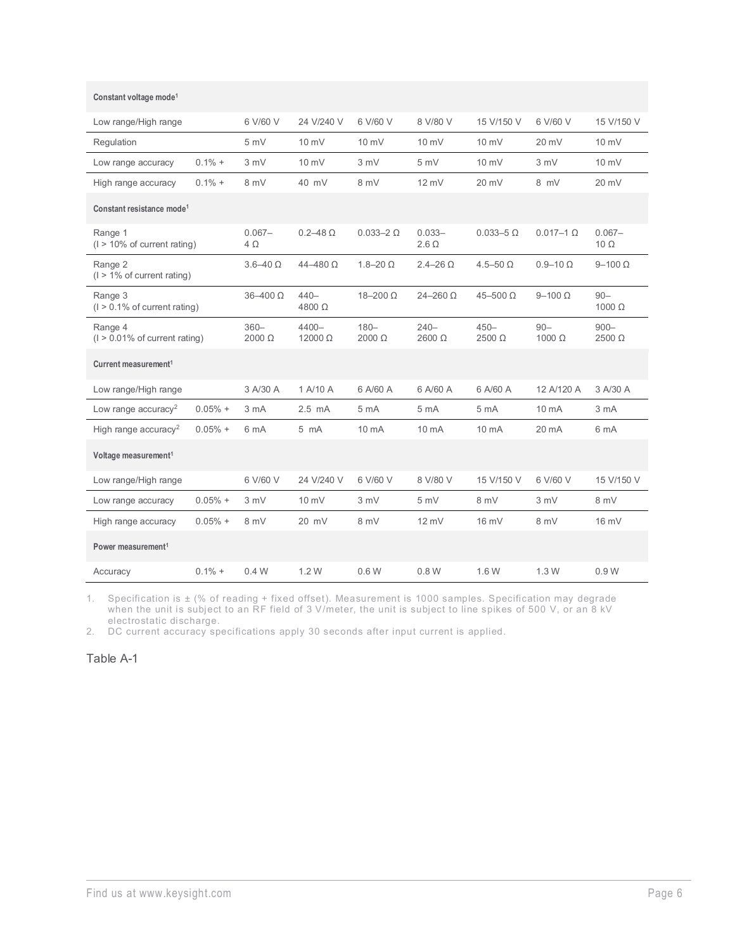| Low range/High range                        |           | 6 V/60 V               | 24 V/240 V               | 6 V/60 V           | 8 V/80 V                  | 15 V/150 V         | 6 V/60 V                | 15 V/150 V               |
|---------------------------------------------|-----------|------------------------|--------------------------|--------------------|---------------------------|--------------------|-------------------------|--------------------------|
| Regulation                                  |           | 5 mV                   | 10 mV                    | 10 mV              | 10 mV                     | $10 \text{ mV}$    | $20 \text{ mV}$         | $10 \text{ mV}$          |
| Low range accuracy                          | $0.1\% +$ | 3 mV                   | 10 mV                    | 3 mV               | 5mV                       | $10 \text{ mV}$    | 3 mV                    | $10 \text{ mV}$          |
| High range accuracy                         | $0.1\% +$ | 8 mV                   | 40 mV                    | 8 mV               | $12 \text{ mV}$           | 20 mV              | 8 mV                    | 20 mV                    |
| Constant resistance mode <sup>1</sup>       |           |                        |                          |                    |                           |                    |                         |                          |
| Range 1<br>$(1 > 10\%$ of current rating)   |           | $0.067 -$<br>$4\Omega$ | $0.2 - 48 \Omega$        | $0.033 - 2 \Omega$ | $0.033 -$<br>$2.6 \Omega$ | $0.033 - 5 \Omega$ | $0.017 - 1$ $\Omega$    | $0.067 -$<br>$10 \Omega$ |
| Range 2<br>$(1 > 1\%$ of current rating)    |           | $3.6 - 40 \Omega$      | $44 - 480 \Omega$        | $1.8 - 20 \Omega$  | $2.4 - 26 \Omega$         | $4.5 - 50 \Omega$  | $0.9 - 10 \Omega$       | $9-100 \Omega$           |
| Range 3<br>$(1 > 0.1\%$ of current rating)  |           | $36 - 400 \Omega$      | $440 -$<br>$4800 \Omega$ | $18 - 200 \Omega$  | $24 - 260 \Omega$         | $45 - 500 \Omega$  | $9-100 \Omega$          | $90 -$<br>$1000 \Omega$  |
| Range 4<br>$(1 > 0.01\%$ of current rating) |           | $360 -$<br>2000 Ω      | $4400 -$<br>12000 Ω      | $180 -$<br>2000 Ω  | $240 -$<br>$2600 \Omega$  | $450 -$<br>2500 Ω  | $90 -$<br>$1000 \Omega$ | $900 -$<br>$2500 \Omega$ |
| Current measurement <sup>1</sup>            |           |                        |                          |                    |                           |                    |                         |                          |
| Low range/High range                        |           | 3 A/30 A               | 1 A/10 A                 | 6 A/60 A           | 6 A/60 A                  | 6 A/60 A           | 12 A/120 A              | 3 A/30 A                 |
| Low range accuracy <sup>2</sup>             | $0.05%$ + | 3 mA                   | $2.5$ mA                 | 5 <sub>m</sub> A   | 5 <sub>m</sub> A          | 5 mA               | $10 \text{ mA}$         | 3 mA                     |
| High range accuracy <sup>2</sup>            | $0.05%$ + | 6 mA                   | $5 \text{ mA}$           | 10 mA              | 10 mA                     | 10 mA              | 20 mA                   | 6 mA                     |
| Voltage measurement <sup>1</sup>            |           |                        |                          |                    |                           |                    |                         |                          |
| Low range/High range                        |           | 6 V/60 V               | 24 V/240 V               | 6 V/60 V           | 8 V/80 V                  | 15 V/150 V         | 6 V/60 V                | 15 V/150 V               |
| Low range accuracy                          | $0.05%$ + | 3 mV                   | 10 mV                    | 3 mV               | 5mV                       | 8 mV               | 3 mV                    | 8 mV                     |
| High range accuracy                         | $0.05%$ + | 8 mV                   | $20$ mV                  | 8 mV               | $12 \text{ mV}$           | 16 mV              | 8 mV                    | $16 \text{ mV}$          |
| Power measurement <sup>1</sup>              |           |                        |                          |                    |                           |                    |                         |                          |
| Accuracy                                    | $0.1\% +$ | 0.4W                   | 1.2W                     | 0.6W               | 0.8 W                     | 1.6 W              | 1.3W                    | 0.9W                     |

1. Specification is ± (% of reading + fixed offset). Measurement is 1000 samples. Specification may degrade when the unit is subject to an RF field of 3 V/meter, the unit is subject to line spikes of 500 V, or an 8 kV electrostatic discharge.

2. DC current accuracy specifications apply 30 seconds after input current is applied.

Table A-1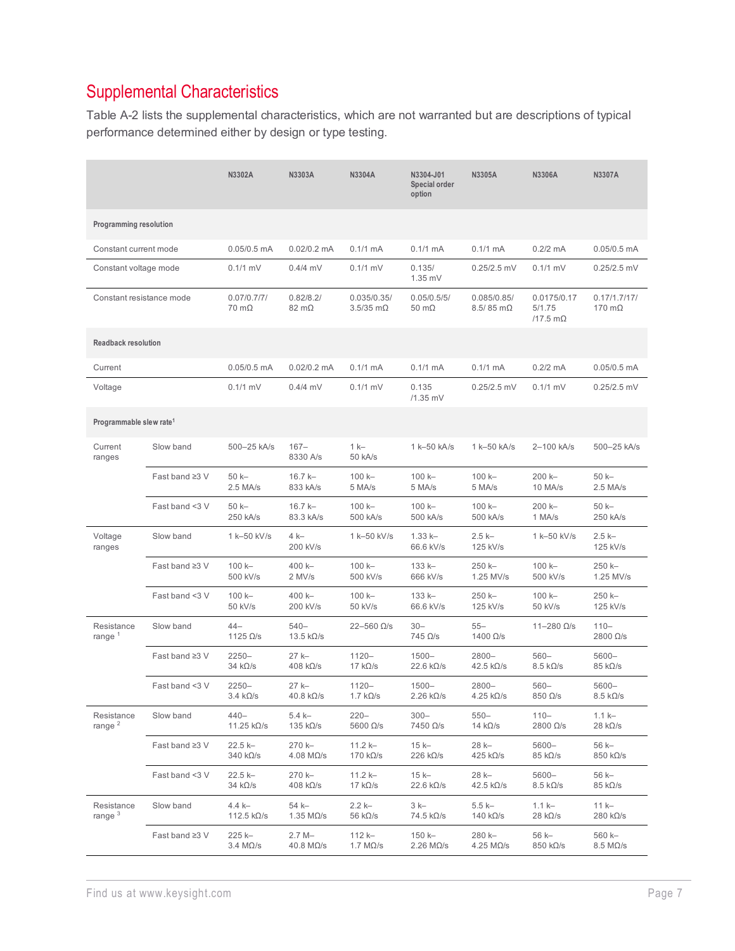## Supplemental Characteristics

Table A-2 lists the supplemental characteristics, which are not warranted but are descriptions of typical performance determined either by design or type testing.

|                                     |                | N3302A                              | N3303A                                     | N3304A                             | N3304-J01<br>Special order<br>option        | N3305A                                      | N3306A                                     | N3307A                                    |
|-------------------------------------|----------------|-------------------------------------|--------------------------------------------|------------------------------------|---------------------------------------------|---------------------------------------------|--------------------------------------------|-------------------------------------------|
| Programming resolution              |                |                                     |                                            |                                    |                                             |                                             |                                            |                                           |
| Constant current mode               |                | $0.05/0.5$ mA                       | $0.02/0.2$ mA                              | $0.1/1$ mA                         | $0.1/1$ mA                                  | $0.1/1$ mA                                  | $0.2/2$ mA                                 | $0.05/0.5$ mA                             |
| Constant voltage mode               |                | $0.1/1$ mV                          | $0.4/4$ mV                                 | $0.1/1$ mV                         | 0.135/<br>1.35 mV                           | $0.25/2.5$ mV                               | $0.1/1$ mV                                 | $0.25/2.5$ mV                             |
| Constant resistance mode            |                | 0.07/0.7/7/<br>$70 \text{ m}\Omega$ | 0.82/8.2/<br>$82 \text{ m}\Omega$          | 0.035/0.35/<br>$3.5/35$ m $\Omega$ | 0.05/0.5/5/<br>$50 \text{ m}\Omega$         | 0.085/0.85/<br>$8.5/85$ m $\Omega$          | 0.0175/0.17<br>5/1.75<br>/17.5 m $\Omega$  | 0.17/1.7/17/<br>170 $m\Omega$             |
| <b>Readback resolution</b>          |                |                                     |                                            |                                    |                                             |                                             |                                            |                                           |
| Current                             |                | $0.05/0.5$ mA                       | $0.02/0.2$ mA                              | $0.1/1$ mA                         | $0.1/1$ mA                                  | $0.1/1$ mA                                  | $0.2/2$ mA                                 | $0.05/0.5$ mA                             |
| Voltage                             |                | $0.1/1$ mV                          | $0.4/4$ mV                                 | $0.1/1$ mV                         | 0.135<br>/1.35 mV                           | $0.25/2.5$ mV                               | $0.1/1$ mV                                 | $0.25/2.5$ mV                             |
| Programmable slew rate <sup>1</sup> |                |                                     |                                            |                                    |                                             |                                             |                                            |                                           |
| Current<br>ranges                   | Slow band      | 500-25 kA/s                         | $167 -$<br>8330 A/s                        | $1 k -$<br>50 kA/s                 | 1 k-50 kA/s                                 | 1 k-50 kA/s                                 | 2-100 kA/s                                 | 500-25 kA/s                               |
|                                     | Fast band ≥3 V | $50k -$<br>2.5 MA/s                 | $16.7 k -$<br>833 kA/s                     | $100k -$<br>5 MA/s                 | $100k -$<br>5 MA/s                          | 100 k-<br>5 MA/s                            | 200 k-<br>10 MA/s                          | $50k -$<br>$2.5$ MA/s                     |
|                                     | Fast band <3 V | $50k -$<br>250 kA/s                 | $16.7 k -$<br>83.3 kA/s                    | $100k -$<br>500 kA/s               | $100k -$<br>500 kA/s                        | $100k -$<br>500 kA/s                        | $200 k -$<br>1 MA/s                        | $50k -$<br>250 kA/s                       |
| Voltage<br>ranges                   | Slow band      | 1 k-50 kV/s                         | 4 k-<br>200 kV/s                           | 1 k-50 kV/s                        | $1.33 k -$<br>66.6 kV/s                     | $2.5k -$<br>125 kV/s                        | 1 k-50 kV/s                                | $2.5k -$<br>125 kV/s                      |
|                                     | Fast band ≥3 V | 100 k-<br>500 kV/s                  | 400 k-<br>2 MV/s                           | $100k -$<br>500 kV/s               | $133 k -$<br>666 kV/s                       | 250 k-<br>1.25 MV/s                         | $100k -$<br>500 kV/s                       | 250 k-<br>1.25 MV/s                       |
|                                     | Fast band <3 V | $100k -$<br>50 kV/s                 | 400 k-<br>200 kV/s                         | $100k -$<br>50 kV/s                | 133 k-<br>66.6 kV/s                         | 250 k-<br>125 kV/s                          | $100k -$<br>50 kV/s                        | 250 k-<br>125 kV/s                        |
| Resistance<br>range <sup>1</sup>    | Slow band      | $44-$<br>1125 $\Omega$ /s           | $540 -$<br>13.5 $k\Omega/s$                | $22 - 560$ $\Omega/s$              | $30 -$<br>$745$ $\Omega/s$                  | $55 -$<br>1400 Ω/s                          | $11 - 280 \Omega/s$                        | $110 -$<br>$2800 \Omega/s$                |
|                                     | Fast band ≥3 V | $2250 -$<br>$34 k\Omega/s$          | 27 k-<br>$408$ k $\Omega/s$                | $1120 -$<br>17 $k\Omega/s$         | $1500 -$<br>$22.6 \text{ k}\Omega/\text{s}$ | $2800 -$<br>$42.5 \text{ k}\Omega/\text{s}$ | $560 -$<br>$8.5 \text{ k}\Omega/\text{s}$  | $5600 -$<br>$85 \text{ k}\Omega/\text{s}$ |
|                                     | Fast band <3 V | $2250 -$<br>$3.4 \; k\Omega/s$      | $27k -$<br>$40.8 \text{ k}\Omega/\text{s}$ | $1120 -$<br>1.7 $k\Omega/s$        | $1500 -$<br>$2.26 \text{ k}\Omega/\text{s}$ | 2800-<br>4.25 kΩ/s                          | $560 -$<br>850 Ω/s                         | $5600 -$<br>$8.5\;k\Omega/s$              |
| Resistance<br>range $^2$            | Slow band      | $440 -$<br>11.25 $k\Omega/s$        | $5.4k -$<br>135 k $\Omega$ /s              | $220 -$<br>5600 $\Omega$ /s        | $300 -$<br>7450 Ω/s                         | $550 -$<br>14 $k\Omega/s$                   | $110 -$<br>2800 Ω/s                        | $1.1k -$<br>$28 \text{ k}\Omega/\text{s}$ |
|                                     | Fast band ≥3 V | 22.5 k-<br>340 kΩ/s                 | 270 k-<br>$4.08$ M $\Omega$ /s             | $11.2 k -$<br>170 k $\Omega$ /s    | $15k -$<br>$226 \text{ k}\Omega/\text{s}$   | 28 k-<br>425 k $\Omega$ /s                  | $5600 -$<br>$85 \text{ k}\Omega/\text{s}$  | 56 k-<br>$850 \text{ k}\Omega/\text{s}$   |
|                                     | Fast band <3 V | 22.5 k-<br>34 kΩ/s                  | 270 k-<br>$408 \text{ k}\Omega/\text{s}$   | $11.2 k -$<br>17 $k\Omega/s$       | $15k-$<br>$22.6 \text{ k}\Omega/\text{s}$   | 28 k-<br>$42.5 \text{ k}\Omega/\text{s}$    | $5600 -$<br>$8.5 \text{ k}\Omega/\text{s}$ | 56 k-<br>$85 \text{ k}\Omega/\text{s}$    |
| Resistance<br>range $3$             | Slow band      | 4.4 k-<br>112.5 $k\Omega/s$         | 54 k-<br>1.35 $M\Omega/s$                  | $2.2k -$<br>56 k $\Omega$ /s       | $3k-$<br>74.5 $k\Omega/s$                   | $5.5k -$<br>140 $k\Omega/s$                 | $1.1k -$<br>$28 k\Omega/s$                 | $11k -$<br>$280 \text{ k}\Omega/\text{s}$ |
|                                     | Fast band ≥3 V | 225 k-<br>3.4 MΩ/s                  | $2.7M -$<br>$40.8$ M $\Omega$ /s           | 112 k-<br>1.7 $M\Omega/s$          | 150 k-<br>2.26 M <sub>2</sub> /s            | 280 k-<br>4.25 MΩ/s                         | 56 k-<br>$850 \; \text{k}\Omega/\text{s}$  | 560 k-<br>$8.5 M\Omega/s$                 |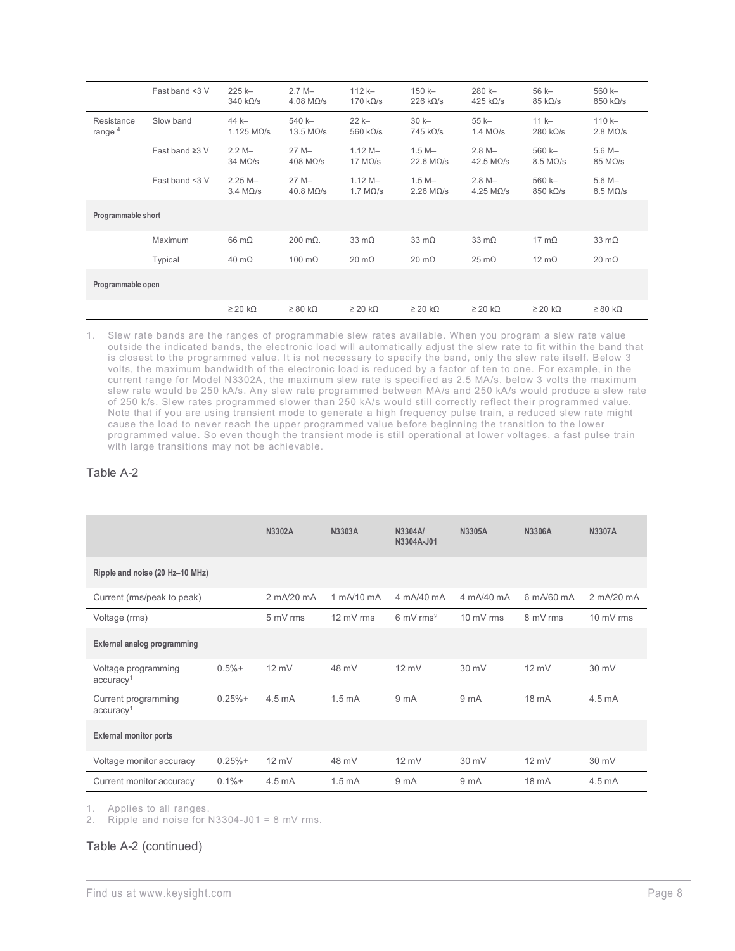|                         | Fast band <3 V       | $225k -$<br>$340 k\Omega/s$       | $2.7 M -$<br>$4.08$ M $\Omega$ /s | $112k -$<br>$170 \text{ k}\Omega/\text{s}$ | $150k -$<br>$226$ k $\Omega/s$ | $280 k -$<br>$425 k\Omega/s$        | $56k -$<br>$85 \text{ k}\Omega/\text{s}$   | 560 k-<br>$850 \text{ k}\Omega/\text{s}$ |
|-------------------------|----------------------|-----------------------------------|-----------------------------------|--------------------------------------------|--------------------------------|-------------------------------------|--------------------------------------------|------------------------------------------|
| Resistance<br>range $4$ | Slow band            | $44k -$<br>1.125 $M\Omega/s$      | $540k -$<br>13.5 $M\Omega/s$      | $22k -$<br>560 $k\Omega/s$                 | $30k -$<br>$745$ k $\Omega/s$  | $55 k -$<br>1.4 $M\Omega/s$         | $11k -$<br>$280$ k $\Omega/s$              | $110k -$<br>2.8 M <sub>2</sub> /s        |
|                         | Fast band $\geq 3$ V | $2.2 M -$<br>$34$ M $\Omega$ /s   | $27M -$<br>$408$ M $\Omega$ /s    | $1.12 M -$<br>17 $M\Omega/s$               | $1.5 M -$<br>22.6 $M\Omega/s$  | $2.8 M -$<br>42.5 M <sub>2</sub> /s | $560k -$<br>8.5 M <sub>2</sub> /s          | $5.6 M -$<br>$85$ M $\Omega$ /s          |
|                         | Fast band <3 V       | $2.25M -$<br>3.4 M <sub>2/s</sub> | $27M -$<br>$40.8$ M $\Omega$ /s   | $1.12 M -$<br>1.7 $M\Omega/s$              | $1.5 M -$<br>$2.26$ MO/s       | $2.8 M -$<br>4.25 M <sub>2</sub> /s | $560k -$<br>$850 \text{ k}\Omega/\text{s}$ | $5.6 M -$<br>8.5 M <sub>2</sub> /s       |
| Programmable short      |                      |                                   |                                   |                                            |                                |                                     |                                            |                                          |
|                         | Maximum              | $66 \text{ mA}$                   | $200 \text{ mA}$ .                | $33 \text{ mA}$                            | $33 \text{ mA}$                | $33 \text{ mA}$                     | $17 \text{ m}\Omega$                       | $33 \text{ mA}$                          |
|                         | Typical              | $40 \text{ m}\Omega$              | 100 $m\Omega$                     | $20 \text{ mA}$                            | $20 \text{ m}\Omega$           | $25 \text{ m}\Omega$                | $12 \text{ mA}$                            | $20 \text{ mA}$                          |
| Programmable open       |                      |                                   |                                   |                                            |                                |                                     |                                            |                                          |
|                         |                      | $\geq$ 20 kΩ                      | $\geq 80$ kΩ                      | $\geq$ 20 kΩ                               | $\geq$ 20 kΩ                   | $\geq$ 20 kΩ                        | $\geq$ 20 kΩ                               | $\geq 80$ kΩ                             |

1. Slew rate bands are the ranges of programmable slew rates available. When you program a slew rate value outside the indicated bands, the electronic load will automatically adjust the slew rate to fit within the band that is closest to the programmed value. It is not necessary to specify the band, only the slew rate itself. Below 3 volts, the maximum bandwidth of the electronic load is reduced by a factor of ten to one. For example, in the current range for Model N3302A, the maximum slew rate is specified as 2.5 MA/s, below 3 volts the maximum slew rate would be 250 kA/s. Any slew rate programmed between MA/s and 250 kA/s would produce a slew rate of 250 k/s. Slew rates programmed slower than 250 kA/s would still correctly reflect their programmed value. Note that if you are using transient mode to generate a high frequency pulse train, a reduced slew rate might cause the load to never reach the upper programmed value before beginning the transition to the lower programmed value. So even though the transient mode is still operational at lower voltages, a fast pulse train with large transitions may not be achievable.

#### Table A-2

|                                              |          | N3302A           | N3303A              | N3304A/<br>N3304A-J01           | N3305A              | <b>N3306A</b>   | N3307A           |
|----------------------------------------------|----------|------------------|---------------------|---------------------------------|---------------------|-----------------|------------------|
| Ripple and noise (20 Hz-10 MHz)              |          |                  |                     |                                 |                     |                 |                  |
| Current (ms/peak to peak)                    |          | 2 mA/20 mA       | 1 mA/10 mA          | 4 mA/40 mA                      | 4 mA/40 mA          | 6 mA/60 mA      | 2 mA/20 mA       |
| Voltage (rms)                                |          | 5 mV rms         | $12 \text{ mV}$ rms | $6 \text{ mV}$ rms <sup>2</sup> | $10 \text{ mV}$ rms | 8 mV rms        | 10 mV rms        |
| External analog programming                  |          |                  |                     |                                 |                     |                 |                  |
| Voltage programming<br>accuracy <sup>1</sup> | $0.5% +$ | $12 \text{ mV}$  | 48 mV               | $12 \text{ mV}$                 | 30 mV               | $12 \text{ mV}$ | 30 mV            |
| Current programming<br>accuracy <sup>1</sup> | $0.25%+$ | $4.5 \text{ mA}$ | 1.5 <sub>m</sub> A  | 9 <sub>mA</sub>                 | 9 <sub>mA</sub>     | 18 mA           | $4.5 \text{ mA}$ |
| <b>External monitor ports</b>                |          |                  |                     |                                 |                     |                 |                  |
| Voltage monitor accuracy                     | $0.25%+$ | $12 \text{ mV}$  | 48 mV               | $12 \text{ mV}$                 | 30 mV               | $12 \text{ mV}$ | 30 mV            |
| Current monitor accuracy                     | $0.1% +$ | $4.5 \text{ mA}$ | 1.5 <sub>m</sub> A  | 9 <sub>m</sub> A                | 9 mA                | 18 mA           | $4.5 \text{ mA}$ |

1. Applies to all ranges.

2. Ripple and noise for N3304-J01 = 8 mV rms.

#### Table A-2 (continued)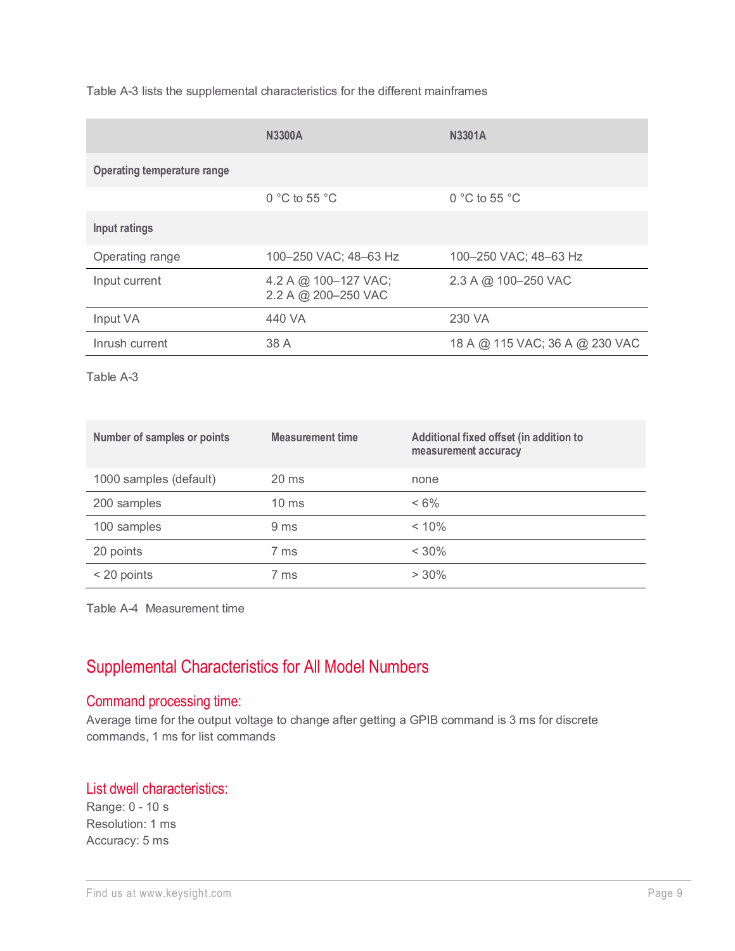Table A-3 lists the supplemental characteristics for the different mainframes

|                                    | <b>N3300A</b>                               | <b>N3301A</b>                  |
|------------------------------------|---------------------------------------------|--------------------------------|
| <b>Operating temperature range</b> |                                             |                                |
|                                    | $0 °C$ to 55 $°C$                           | 0 °C to 55 °C                  |
| Input ratings                      |                                             |                                |
| Operating range                    | 100-250 VAC; 48-63 Hz                       | 100-250 VAC; 48-63 Hz          |
| Input current                      | 4.2 A @ 100-127 VAC;<br>2.2 A @ 200-250 VAC | 2.3 A @ 100-250 VAC            |
| Input VA                           | 440 VA                                      | 230 VA                         |
| Inrush current                     | 38 A                                        | 18 A @ 115 VAC; 36 A @ 230 VAC |

Table A-3

| Number of samples or points | <b>Measurement time</b> | Additional fixed offset (in addition to<br>measurement accuracy |
|-----------------------------|-------------------------|-----------------------------------------------------------------|
| 1000 samples (default)      | $20 \text{ ms}$         | none                                                            |
| 200 samples                 | $10 \text{ ms}$         | $< 6\%$                                                         |
| 100 samples                 | 9 <sub>ms</sub>         | < 10%                                                           |
| 20 points                   | 7 ms                    | $< 30\%$                                                        |
| $<$ 20 points               | 7 ms                    | $> 30\%$                                                        |

Table A-4 Measurement time

## Supplemental Characteristics for All Model Numbers

#### Command processing time:

Average time for the output voltage to change after getting a GPIB command is 3 ms for discrete commands, 1 ms for list commands

#### List dwell characteristics:

Range: 0 - 10 s Resolution: 1 ms Accuracy: 5 ms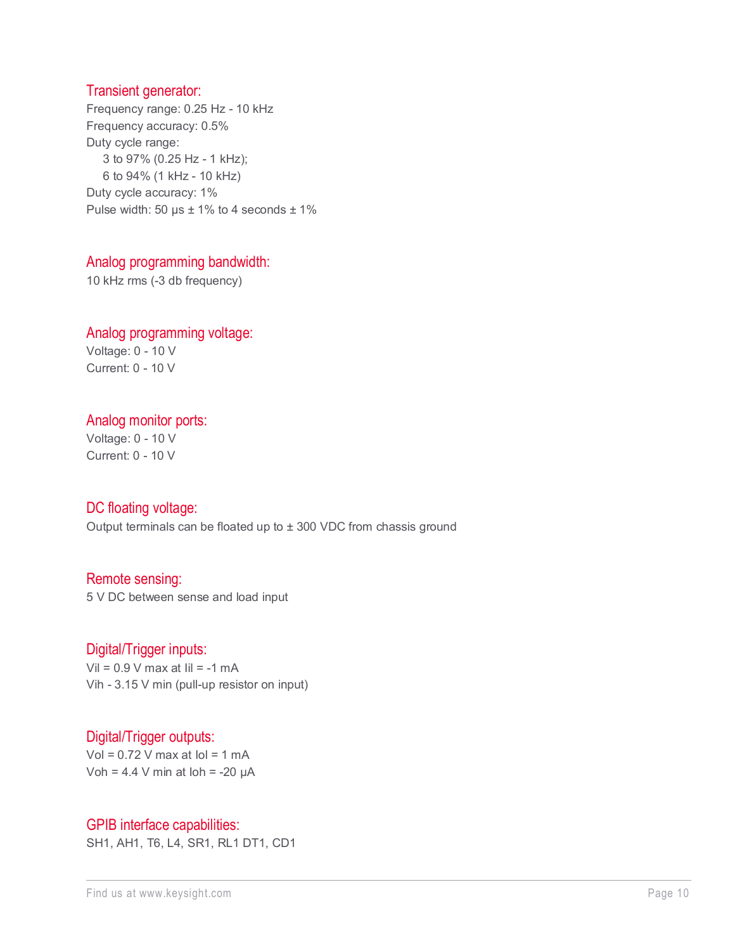#### Transient generator:

Frequency range: 0.25 Hz - 10 kHz Frequency accuracy: 0.5% Duty cycle range: 3 to 97% (0.25 Hz - 1 kHz); 6 to 94% (1 kHz - 10 kHz) Duty cycle accuracy: 1% Pulse width: 50  $\mu$ s ± 1% to 4 seconds ± 1%

#### Analog programming bandwidth:

10 kHz rms (-3 db frequency)

#### Analog programming voltage: Voltage: 0 - 10 V

Current: 0 - 10 V

#### Analog monitor ports:

Voltage: 0 - 10 V Current: 0 - 10 V

#### DC floating voltage:

Output terminals can be floated up to  $\pm$  300 VDC from chassis ground

#### Remote sensing:

5 V DC between sense and load input

#### Digital/Trigger inputs:

Vil =  $0.9$  V max at Iil = -1 mA Vih - 3.15 V min (pull-up resistor on input)

#### Digital/Trigger outputs:

Vol =  $0.72$  V max at  $\text{Io} = 1 \text{ mA}$ Voh =  $4.4$  V min at  $\text{loh} = -20 \mu \text{A}$ 

#### GPIB interface capabilities:

SH1, AH1, T6, L4, SR1, RL1 DT1, CD1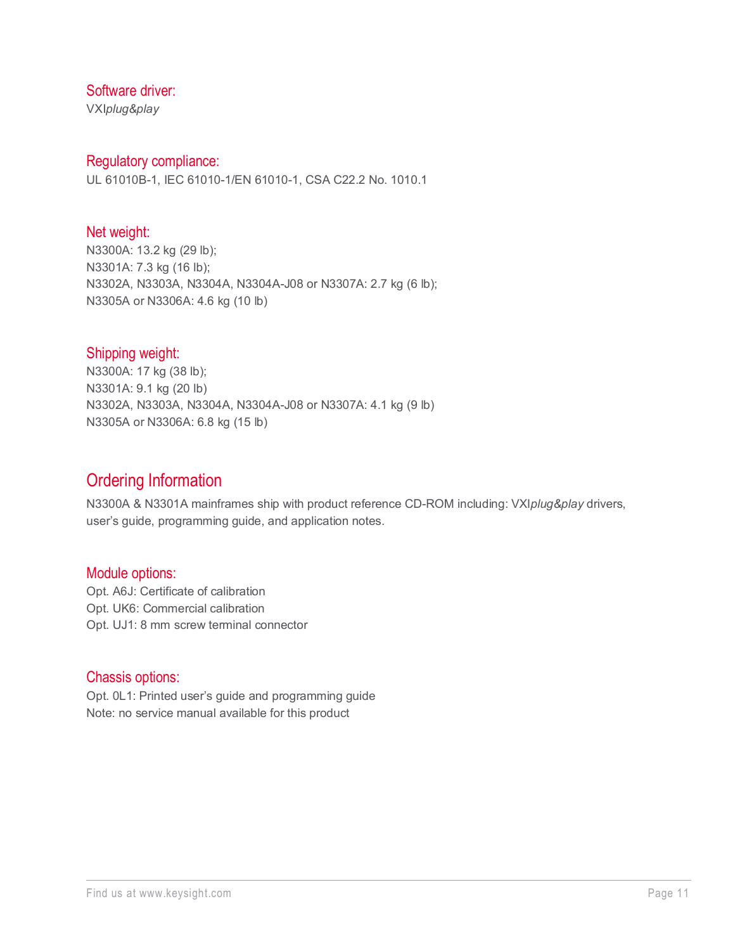#### Software driver:

VXI*plug&play*

#### Regulatory compliance:

UL 61010B-1, IEC 61010-1/EN 61010-1, CSA C22.2 No. 1010.1

#### Net weight:

N3300A: 13.2 kg (29 lb); N3301A: 7.3 kg (16 lb); N3302A, N3303A, N3304A, N3304A-J08 or N3307A: 2.7 kg (6 lb); N3305A or N3306A: 4.6 kg (10 lb)

#### Shipping weight:

N3300A: 17 kg (38 lb); N3301A: 9.1 kg (20 lb) N3302A, N3303A, N3304A, N3304A-J08 or N3307A: 4.1 kg (9 lb) N3305A or N3306A: 6.8 kg (15 lb)

## Ordering Information

N3300A & N3301A mainframes ship with product reference CD-ROM including: VXI*plug&play* drivers, user's guide, programming guide, and application notes.

#### Module options:

Opt. A6J: Certificate of calibration Opt. UK6: Commercial calibration Opt. UJ1: 8 mm screw terminal connector

#### Chassis options:

Opt. 0L1: Printed user's guide and programming guide Note: no service manual available for this product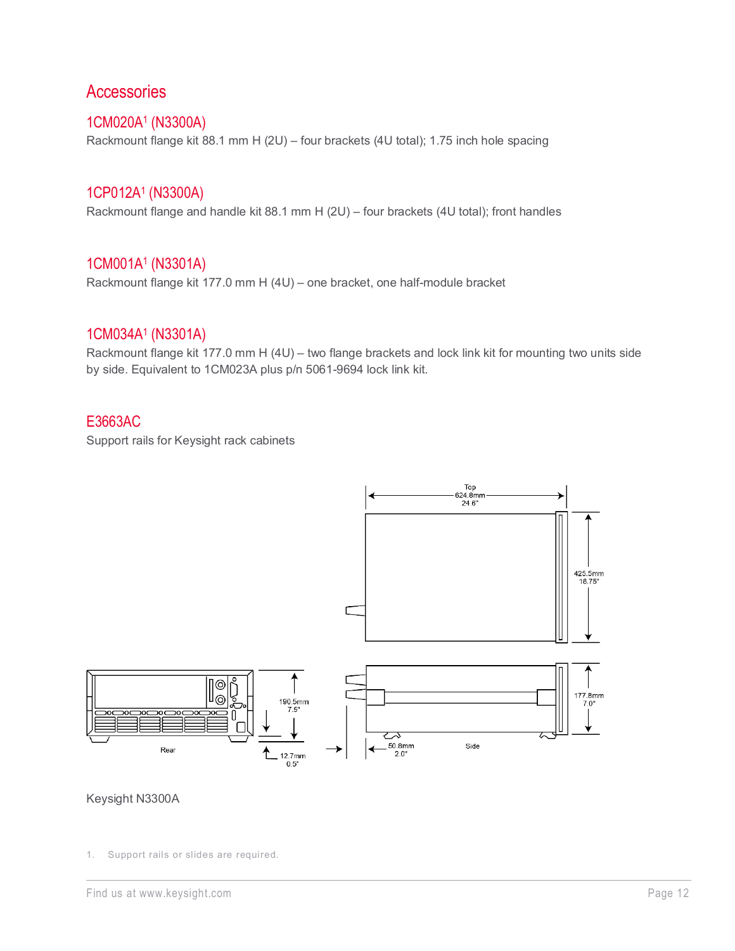## **Accessories**

#### 1CM020A1 (N3300A)

Rackmount flange kit 88.1 mm H (2U) – four brackets (4U total); 1.75 inch hole spacing

#### 1CP012A1 (N3300A)

Rackmount flange and handle kit 88.1 mm H (2U) – four brackets (4U total); front handles

#### 1CM001A1 (N3301A)

Rackmount flange kit 177.0 mm H (4U) – one bracket, one half-module bracket

#### 1CM034A1 (N3301A)

Rackmount flange kit 177.0 mm H (4U) – two flange brackets and lock link kit for mounting two units side by side. Equivalent to 1CM023A plus p/n 5061-9694 lock link kit.

#### E3663AC

Support rails for Keysight rack cabinets



#### Keysight N3300A

<sup>1.</sup> Support rails or slides are required.